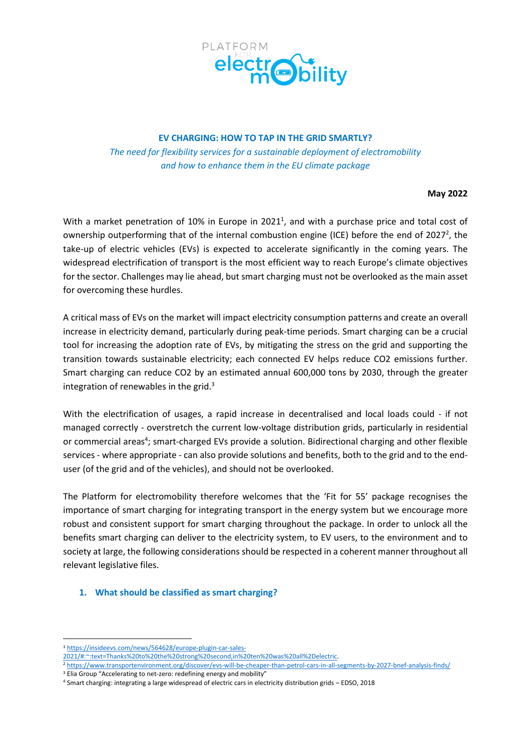

## **EV CHARGING: HOW TO TAP IN THE GRID SMARTLY?**

*The need for flexibility services for a sustainable deployment of electromobility and how to enhance them in the EU climate package* 

#### **May 2022**

With a market penetration of 10% in Europe in 2021<sup>1</sup>, and with a purchase price and total cost of ownership outperforming that of the internal combustion engine (ICE) before the end of 2027<sup>2</sup>, the take-up of electric vehicles (EVs) is expected to accelerate significantly in the coming years. The widespread electrification of transport is the most efficient way to reach Europe's climate objectives for the sector. Challenges may lie ahead, but smart charging must not be overlooked as the main asset for overcoming these hurdles.

A critical mass of EVs on the market will impact electricity consumption patterns and create an overall increase in electricity demand, particularly during peak-time periods. Smart charging can be a crucial tool for increasing the adoption rate of EVs, by mitigating the stress on the grid and supporting the transition towards sustainable electricity; each connected EV helps reduce CO2 emissions further. Smart charging can reduce CO2 by an estimated annual 600,000 tons by 2030, through the greater integration of renewables in the grid.<sup>3</sup>

With the electrification of usages, a rapid increase in decentralised and local loads could - if not managed correctly - overstretch the current low-voltage distribution grids, particularly in residential or commercial areas<sup>4</sup>; smart-charged EVs provide a solution. Bidirectional charging and other flexible services - where appropriate - can also provide solutions and benefits, both to the grid and to the enduser (of the grid and of the vehicles), and should not be overlooked.

The Platform for electromobility therefore welcomes that the 'Fit for 55' package recognises the importance of smart charging for integrating transport in the energy system but we encourage more robust and consistent support for smart charging throughout the package. In order to unlock all the benefits smart charging can deliver to the electricity system, to EV users, to the environment and to society at large, the following considerations should be respected in a coherent manner throughout all relevant legislative files.

#### **1. What should be classified as smart charging?**

<sup>2</sup> <https://www.transportenvironment.org/discover/evs-will-be-cheaper-than-petrol-cars-in-all-segments-by-2027-bnef-analysis-finds/> <sup>3</sup> Elia Group "Accelerating to net-zero: redefining energy and mobility"

<sup>1</sup> [https://insideevs.com/news/564628/europe-plugin-car-sales-](https://insideevs.com/news/564628/europe-plugin-car-sales-2021/#:~:text=Thanks%20to%20the%20strong%20second,in%20ten%20was%20all%2Delectric)

[<sup>2021/#:~:</sup>text=Thanks%20to%20the%20strong%20second,in%20ten%20was%20all%2Delectric.](https://insideevs.com/news/564628/europe-plugin-car-sales-2021/#:~:text=Thanks%20to%20the%20strong%20second,in%20ten%20was%20all%2Delectric)

<sup>4</sup> Smart charging: integrating a large widespread of electric cars in electricity distribution grids – EDSO, 2018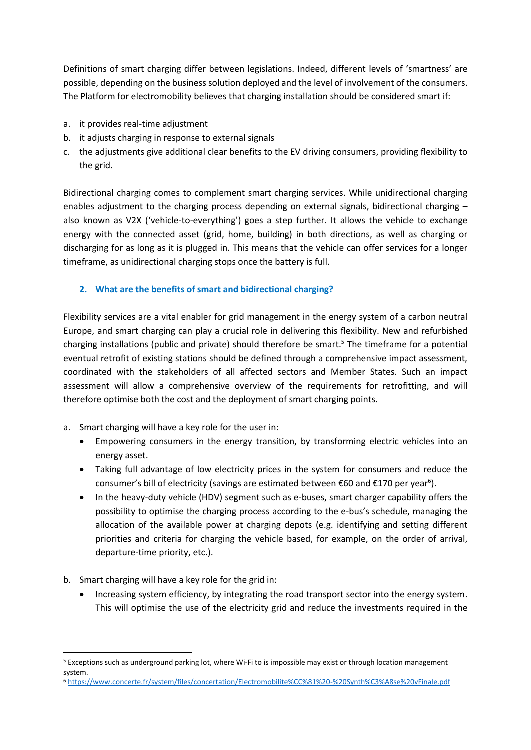Definitions of smart charging differ between legislations. Indeed, different levels of 'smartness' are possible, depending on the business solution deployed and the level of involvement of the consumers. The Platform for electromobility believes that charging installation should be considered smart if:

- a. it provides real-time adjustment
- b. it adjusts charging in response to external signals
- c. the adjustments give additional clear benefits to the EV driving consumers, providing flexibility to the grid.

Bidirectional charging comes to complement smart charging services. While unidirectional charging enables adjustment to the charging process depending on external signals, bidirectional charging – also known as V2X ('vehicle-to-everything') goes a step further. It allows the vehicle to exchange energy with the connected asset (grid, home, building) in both directions, as well as charging or discharging for as long as it is plugged in. This means that the vehicle can offer services for a longer timeframe, as unidirectional charging stops once the battery is full.

# **2. What are the benefits of smart and bidirectional charging?**

Flexibility services are a vital enabler for grid management in the energy system of a carbon neutral Europe, and smart charging can play a crucial role in delivering this flexibility. New and refurbished charging installations (public and private) should therefore be smart. <sup>5</sup> The timeframe for a potential eventual retrofit of existing stations should be defined through a comprehensive impact assessment, coordinated with the stakeholders of all affected sectors and Member States. Such an impact assessment will allow a comprehensive overview of the requirements for retrofitting, and will therefore optimise both the cost and the deployment of smart charging points.

- a. Smart charging will have a key role for the user in:
	- Empowering consumers in the energy transition, by transforming electric vehicles into an energy asset.
	- Taking full advantage of low electricity prices in the system for consumers and reduce the consumer's bill of electricity (savings are estimated between  $\epsilon$ 60 and  $\epsilon$ 170 per year<sup>6</sup>).
	- In the heavy-duty vehicle (HDV) segment such as e-buses, smart charger capability offers the possibility to optimise the charging process according to the e-bus's schedule, managing the allocation of the available power at charging depots (e.g. identifying and setting different priorities and criteria for charging the vehicle based, for example, on the order of arrival, departure-time priority, etc.).
- b. Smart charging will have a key role for the grid in:
	- Increasing system efficiency, by integrating the road transport sector into the energy system. This will optimise the use of the electricity grid and reduce the investments required in the

<sup>5</sup> Exceptions such as underground parking lot, where Wi-Fi to is impossible may exist or through location management system.

<sup>6</sup> <https://www.concerte.fr/system/files/concertation/Electromobilite%CC%81%20-%20Synth%C3%A8se%20vFinale.pdf>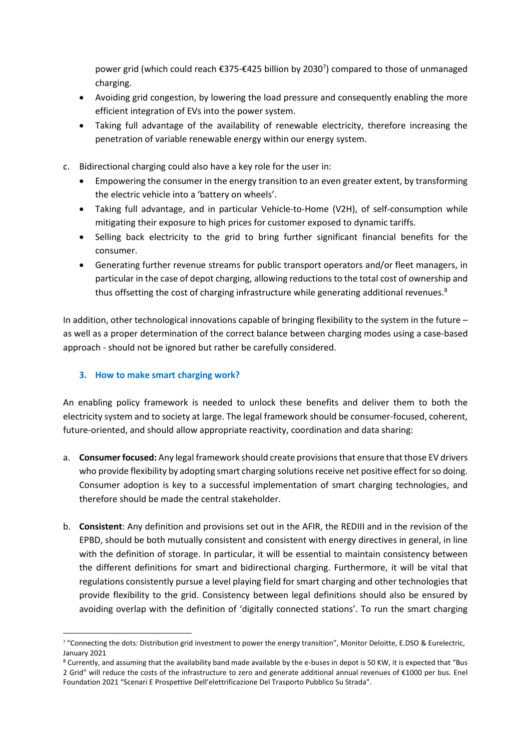power grid (which could reach €375-€425 billion by 2030<sup>7</sup>) compared to those of unmanaged charging.

- Avoiding grid congestion, by lowering the load pressure and consequently enabling the more efficient integration of EVs into the power system.
- Taking full advantage of the availability of renewable electricity, therefore increasing the penetration of variable renewable energy within our energy system.
- c. Bidirectional charging could also have a key role for the user in:
	- Empowering the consumer in the energy transition to an even greater extent, by transforming the electric vehicle into a 'battery on wheels'.
	- Taking full advantage, and in particular Vehicle-to-Home (V2H), of self-consumption while mitigating their exposure to high prices for customer exposed to dynamic tariffs.
	- Selling back electricity to the grid to bring further significant financial benefits for the consumer.
	- Generating further revenue streams for public transport operators and/or fleet managers, in particular in the case of depot charging, allowing reductions to the total cost of ownership and thus offsetting the cost of charging infrastructure while generating additional revenues.<sup>8</sup>

In addition, other technological innovations capable of bringing flexibility to the system in the future – as well as a proper determination of the correct balance between charging modes using a case-based approach - should not be ignored but rather be carefully considered.

# **3. How to make smart charging work?**

An enabling policy framework is needed to unlock these benefits and deliver them to both the electricity system and to society at large. The legal framework should be consumer-focused, coherent, future-oriented, and should allow appropriate reactivity, coordination and data sharing:

- a. **Consumer focused:** Any legal framework should create provisions that ensure that those EV drivers who provide flexibility by adopting smart charging solutions receive net positive effect for so doing. Consumer adoption is key to a successful implementation of smart charging technologies, and therefore should be made the central stakeholder.
- b. **Consistent**: Any definition and provisions set out in the AFIR, the REDIII and in the revision of the EPBD, should be both mutually consistent and consistent with energy directives in general, in line with the definition of storage. In particular, it will be essential to maintain consistency between the different definitions for smart and bidirectional charging. Furthermore, it will be vital that regulations consistently pursue a level playing field for smart charging and other technologies that provide flexibility to the grid. Consistency between legal definitions should also be ensured by avoiding overlap with the definition of 'digitally connected stations'. To run the smart charging

<sup>7</sup> "Connecting the dots: Distribution grid investment to power the energy transition", Monitor Deloitte, E.DSO & Eurelectric, January 2021

<sup>8</sup> Currently, and assuming that the availability band made available by the e-buses in depot is 50 KW, it is expected that "Bus 2 Grid" will reduce the costs of the infrastructure to zero and generate additional annual revenues of €1000 per bus. Enel Foundation 2021 "Scenari E Prospettive Dell'elettrificazione Del Trasporto Pubblico Su Strada".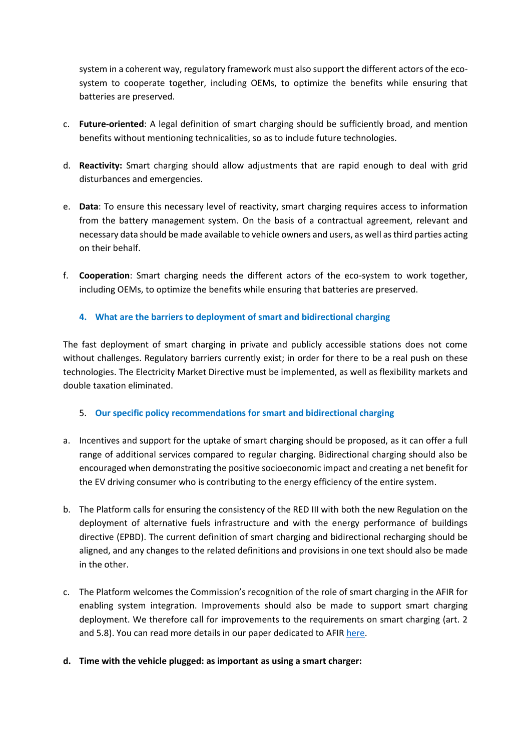system in a coherent way, regulatory framework must also support the different actors of the ecosystem to cooperate together, including OEMs, to optimize the benefits while ensuring that batteries are preserved.

- c. **Future-oriented**: A legal definition of smart charging should be sufficiently broad, and mention benefits without mentioning technicalities, so as to include future technologies.
- d. **Reactivity:** Smart charging should allow adjustments that are rapid enough to deal with grid disturbances and emergencies.
- e. **Data**: To ensure this necessary level of reactivity, smart charging requires access to information from the battery management system. On the basis of a contractual agreement, relevant and necessary data should be made available to vehicle owners and users, as well asthird parties acting on their behalf.
- f. **Cooperation**: Smart charging needs the different actors of the eco-system to work together, including OEMs, to optimize the benefits while ensuring that batteries are preserved.

## **4. What are the barriers to deployment of smart and bidirectional charging**

The fast deployment of smart charging in private and publicly accessible stations does not come without challenges. Regulatory barriers currently exist; in order for there to be a real push on these technologies. The Electricity Market Directive must be implemented, as well as flexibility markets and double taxation eliminated.

## 5. **Our specific policy recommendations for smart and bidirectional charging**

- a. Incentives and support for the uptake of smart charging should be proposed, as it can offer a full range of additional services compared to regular charging. Bidirectional charging should also be encouraged when demonstrating the positive socioeconomic impact and creating a net benefit for the EV driving consumer who is contributing to the energy efficiency of the entire system.
- b. The Platform calls for ensuring the consistency of the RED III with both the new Regulation on the deployment of alternative fuels infrastructure and with the energy performance of buildings directive (EPBD). The current definition of smart charging and bidirectional recharging should be aligned, and any changes to the related definitions and provisions in one text should also be made in the other.
- c. The Platform welcomes the Commission's recognition of the role of smart charging in the AFIR for enabling system integration. Improvements should also be made to support smart charging deployment. We therefore call for improvements to the requirements on smart charging (art. 2 and 5.8). You can read more details in our paper dedicated to AFIR [here.](https://www.platformelectromobility.eu/wp-content/uploads/2022/02/Platform-for-emobility_AFIR-Reaction-Paper_022022.pdf)
- **d. Time with the vehicle plugged: as important as using a smart charger:**